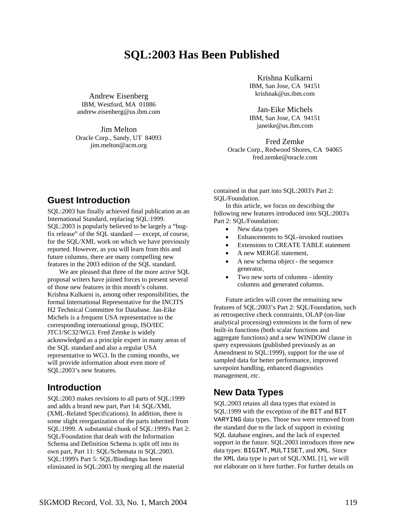# **SQL:2003 Has Been Published**

Andrew Eisenberg IBM, Westford, MA 01886 andrew.eisenberg@us.ibm.com

Jim Melton Oracle Corp., Sandy, UT 84093 jim.melton@acm.org

Krishna Kulkarni IBM, San Jose, CA 94151 krishnak@us.ibm.com

Jan-Eike Michels IBM, San Jose, CA 94151 janeike@us.ibm.com

Fred Zemke Oracle Corp., Redwood Shores, CA 94065 fred.zemke@oracle.com

### **Guest Introduction**

SQL:2003 has finally achieved final publication as an International Standard, replacing SQL:1999. SQL:2003 is popularly believed to be largely a "bugfix release" of the SQL standard — except, of course, for the SQL/XML work on which we have previously reported. However, as you will learn from this and future columns, there are many compelling new features in the 2003 edition of the SQL standard.

We are pleased that three of the more active SQL proposal writers have joined forces to present several of those new features in this month's column. Krishna Kulkarni is, among other responsibilities, the formal International Representative for the INCITS H2 Technical Committee for Database. Jan-Eike Michels is a frequent USA representative to the corresponding international group, ISO/IEC JTC1/SC32/WG3. Fred Zemke is widely acknowledged as a principle expert in many areas of the SQL standard and also a regular USA representative to WG3. In the coming months, we will provide information about even more of SQL:2003's new features.

### **Introduction**

SQL:2003 makes revisions to all parts of SQL:1999 and adds a brand new part, Part 14: SQL/XML (XML-Related Specifications). In addition, there is some slight reorganization of the parts inherited from SQL:1999. A substantial chunk of SQL:1999's Part 2: SQL/Foundation that dealt with the Information Schema and Definition Schema is split off into its own part, Part 11: SQL/Schemata in SQL:2003. SQL:1999's Part 5: SQL/Bindings has been eliminated in SQL:2003 by merging all the material

contained in that part into SQL:2003's Part 2: SQL/Foundation.

In this article, we focus on describing the following new features introduced into SQL:2003's Part 2: SQL/Foundation:

- New data types
- Enhancements to SQL-invoked routines
- Extensions to CREATE TABLE statement
- A new MERGE statement,
- A new schema object the sequence generator,
- Two new sorts of columns identity columns and generated columns.

Future articles will cover the remaining new features of SQL:2003's Part 2: SQL/Foundation, such as retrospective check constraints, OLAP (on-line analytical processing) extensions in the form of new built-in functions (both scalar functions and aggregate functions) and a new WINDOW clause in query expressions (published previously as an Amendment to SQL:1999), support for the use of sampled data for better performance, improved savepoint handling, enhanced diagnostics management, *etc*.

### **New Data Types**

SQL:2003 retains all data types that existed in SQL:1999 with the exception of the BIT and BIT VARYING data types. Those two were removed from the standard due to the lack of support in existing SQL database engines, and the lack of expected support in the future. SQL:2003 introduces three new data types: BIGINT, MULTISET, and XML. Since the XML data type is part of SQL/XML [1], we will not elaborate on it here further. For further details on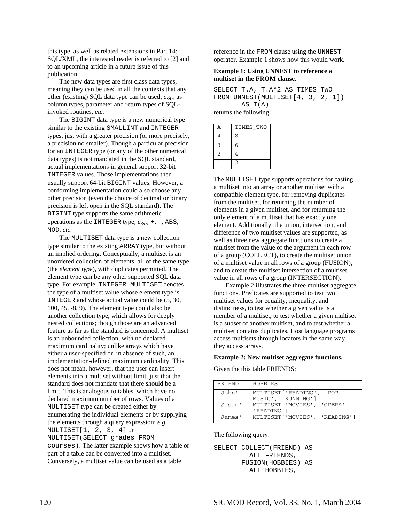this type, as well as related extensions in Part 14: SQL/XML, the interested reader is referred to [2] and to an upcoming article in a future issue of this publication.

The new data types are first class data types, meaning they can be used in all the contexts that any other (existing) SQL data type can be used; *e.g.,* as column types, parameter and return types of SQLinvoked routines, *etc.* 

The BIGINT data type is a new numerical type similar to the existing SMALLINT and INTEGER types, just with a greater precision (or more precisely, a precision no smaller). Though a particular precision for an INTEGER type (or any of the other numerical data types) is not mandated in the SQL standard, actual implementations in general support 32-bit INTEGER values. Those implementations then usually support 64-bit BIGINT values. However, a conforming implementation could also choose any other precision (even the choice of decimal or binary precision is left open in the SQL standard). The BIGINT type supports the same arithmetic operations as the INTEGER type; *e.g.,* +, -, ABS, MOD, *etc.*

The MULTISET data type is a new collection type similar to the existing ARRAY type, but without an implied ordering. Conceptually, a multiset is an unordered collection of elements, all of the same type (the *element type*), with duplicates permitted. The element type can be any other supported SQL data type. For example, INTEGER MULTISET denotes the type of a multiset value whose element type is INTEGER and whose actual value could be (5, 30, 100, 45, -8, 9). The element type could also be another collection type, which allows for deeply nested collections; though those are an advanced feature as far as the standard is concerned. A multiset is an unbounded collection, with no declared maximum cardinality; unlike arrays which have either a user-specified or, in absence of such, an implementation-defined maximum cardinality. This does not mean, however, that the user can insert elements into a multiset without limit, just that the standard does not mandate that there should be a limit. This is analogous to tables, which have no declared maximum number of rows. Values of a MULTISET type can be created either by enumerating the individual elements or by supplying the elements through a query expression; *e.g.*, MULTISET[1, 2, 3, 4] or MULTISET(SELECT grades FROM courses). The latter example shows how a table or part of a table can be converted into a multiset. Conversely, a multiset value can be used as a table

reference in the FROM clause using the UNNEST operator. [Example 1](#page-1-0) shows how this would work.

#### <span id="page-1-0"></span>**Example 1: Using UNNEST to reference a multiset in the FROM clause.**

SELECT T.A, T.A\*2 AS TIMES TWO FROM UNNEST(MULTISET[4, 3, 2, 1]) AS T(A) returns the following:

| A              | TIMES TWO      |
|----------------|----------------|
| 4              | 8              |
| 3              | 6              |
| $\mathfrak{D}$ | 4              |
|                | $\overline{2}$ |

The MULTISET type supports operations for casting a multiset into an array or another multiset with a compatible element type, for removing duplicates from the multiset, for returning the number of elements in a given multiset, and for returning the only element of a multiset that has exactly one element. Additionally, the union, intersection, and difference of two multiset values are supported, as well as three new aggregate functions to create a multiset from the value of the argument in each row of a group (COLLECT), to create the multiset union of a multiset value in all rows of a group (FUSION), and to create the multiset intersection of a multiset value in all rows of a group (INTERSECTION).

[Example 2](#page-1-1) illustrates the three multiset aggregate functions. Predicates are supported to test two multiset values for equality, inequality, and distinctness, to test whether a given value is a member of a multiset, to test whether a given multiset is a subset of another multiset, and to test whether a multiset contains duplicates. Host language programs access multisets through locators in the same way they access arrays.

#### <span id="page-1-1"></span>**Example 2: New multiset aggregate functions.**

Given the this table FRIENDS:

| FRIEND  | HOBBIES                                                |
|---------|--------------------------------------------------------|
| 'John'  | MULTISET [ 'READING',<br>$'$ POP-<br>MUSIC', 'RUNNING' |
| 'Susan' | MULTISET [ 'MOVIES', 'OPERA'<br>'READING'              |
| 'James' | 'READING']<br>MULTISET [ 'MOVIES',                     |

The following query:

SELECT COLLECT(FRIEND) AS ALL\_FRIENDS, FUSION(HOBBIES) AS ALL\_HOBBIES,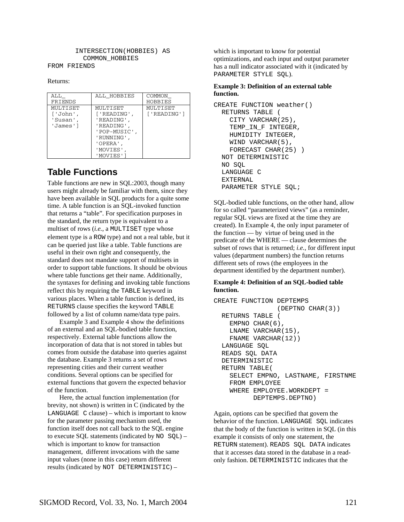### INTERSECTION(HOBBIES) AS COMMON\_HOBBIES

#### FROM FRIENDS

#### Returns:

| ALL<br>FRIENDS                             | ALL HOBBIES                                                                                                       | COMMON<br>HOBBIES       |
|--------------------------------------------|-------------------------------------------------------------------------------------------------------------------|-------------------------|
| MULTISET<br>[ˈJohn'<br>'Susan'<br>'James'l | MULTISET<br>['READING'<br>'READING'<br>'READING'<br>'POP-MUSIC'<br>' RUNNING '<br>'OPERA'<br>'MOVIES'<br>'MOVIES' | MULTISET<br>['READING'] |

### **Table Functions**

Table functions are new in SQL:2003, though many users might already be familiar with them, since they have been available in SQL products for a quite some time. A table function is an SQL-invoked function that returns a "table". For specification purposes in the standard, the return type is equivalent to a multiset of rows (*i.e.*, a MULTISET type whose element type is a ROW type) and not a real table, but it can be queried just like a table. Table functions are useful in their own right and consequently, the standard does not mandate support of multisets in order to support table functions. It should be obvious where table functions get their name. Additionally, the syntaxes for defining and invoking table functions reflect this by requiring the TABLE keyword in various places. When a table function is defined, its RETURNS clause specifies the keyword TABLE followed by a list of column name/data type pairs.

[Example 3](#page-2-0) and [Example 4](#page-2-1) show the definitions of an external and an SQL-bodied table function, respectively. External table functions allow the incorporation of data that is not stored in tables but comes from outside the database into queries against the database. [Example 3](#page-2-0) returns a set of rows representing cities and their current weather conditions. Several options can be specified for external functions that govern the expected behavior of the function.

Here, the actual function implementation (for brevity, not shown) is written in C (indicated by the LANGUAGE C clause) – which is important to know for the parameter passing mechanism used, the function itself does not call back to the SQL engine to execute SQL statements (indicated by  $NO$   $SOL$ ) – which is important to know for transaction management, different invocations with the same input values (none in this case) return different results (indicated by NOT DETERMINISTIC) –

which is important to know for potential optimizations, and each input and output parameter has a null indicator associated with it (indicated by PARAMETER STYLE SQL).

#### <span id="page-2-0"></span>**Example 3: Definition of an external table function.**

```
CREATE FUNCTION weather() 
   RETURNS TABLE ( 
     CITY VARCHAR(25), 
     TEMP_IN_F INTEGER, 
     HUMIDITY INTEGER, 
     WIND VARCHAR(5), 
     FORECAST CHAR(25) ) 
   NOT DETERMINISTIC 
   NO SQL 
   LANGUAGE C 
   EXTERNAL 
   PARAMETER STYLE SQL;
```
SQL-bodied table functions, on the other hand, allow for so called "parameterized views" (as a reminder, regular SQL views are fixed at the time they are created). In [Example 4,](#page-2-1) the only input parameter of the function — by virtue of being used in the predicate of the WHERE — clause determines the subset of rows that is returned; *i.e.*, for different input values (department numbers) the function returns different sets of rows (the employees in the department identified by the department number).

#### <span id="page-2-1"></span>**Example 4: Definition of an SQL-bodied table function.**

```
CREATE FUNCTION DEPTEMPS 
                   (DEPTNO CHAR(3)) 
  RETURNS TABLE ( 
     EMPNO CHAR(6), 
     LNAME VARCHAR(15), 
     FNAME VARCHAR(12)) 
  LANGUAGE SQL 
  READS SQL DATA 
  DETERMINISTIC 
  RE
TURN TABLE(
     SELECT EMPNO, LASTNAME, FIRSTNME 
     FROM EMPLOYEE 
    WHERE EMPLOYEE. WORKDEPT =
           DEPTEMPS.DEPTNO)
```
Again, options can be specified that govern the behavior of the function. LANGUAGE SQL indicates that the body of the function is written in SQL (in this example it consists of only one statement, the RETURN statement). READS SQL DATA indicates that it accesses data stored in the database in a readonly fashion. DETERMINISTIC indicates that the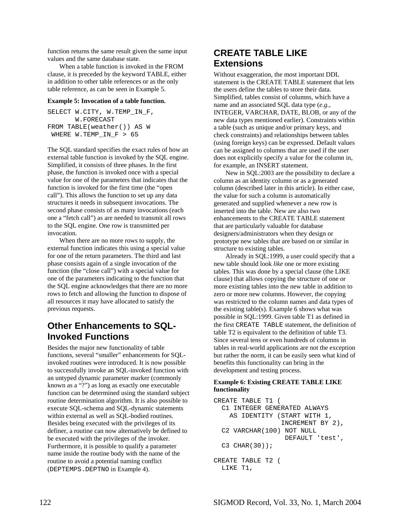function returns the same result given the same input values and the same database state.

When a table function is invoked in the FROM clause, it is preceded by the keyword TABLE, either in addition to other table references or as the only table reference, as can be seen in [Example 5.](#page-3-0)

#### <span id="page-3-0"></span>**Example 5: Invocation of a table function.**

```
SELECT W.CITY, W.TEMP_IN_F, 
        W.FORECAST 
FROM TABLE(weather()) AS W 
 WHERE W.TEMP_IN_F > 65
```
The SQL standard specifies the exact rules of how an external table function is invoked by the SQL engine. Simplified, it consists of three phases. In the first phase, the function is invoked once with a special value for one of the parameters that indicates that the function is invoked for the first time (the "open call"). This allows the function to set up any data structures it needs in subsequent invocations. The second phase consists of as many invocations (each one a "fetch call") as are needed to transmit all rows to the SQL engine. One row is transmitted per invocation.

When there are no more rows to supply, the external function indicates this using a special value for one of the return parameters. The third and last phase consists again of a single invocation of the function (the "close call") with a special value for one of the parameters indicating to the function that the SQL engine acknowledges that there are no more rows to fetch and allowing the function to dispose of all resources it may have allocated to satisfy the previous requests.

### **Other Enhancements to SQL-Invoked Functions**

Besides the major new functionality of table functions, several "smaller" enhancements for SQLinvoked routines were introduced. It is now possible to successfully invoke an SQL-invoked function with an untyped dynamic parameter marker (commonly known as a "?") as long as exactly one executable function can be determined using the standard subject routine determination algorithm. It is also possible to execute SQL-schema and SQL-dynamic statements within external as well as SQL-bodied routines. Besides being executed with the privileges of its definer, a routine can now alternatively be defined to be executed with the privileges of the invoker. Furthermore, it is possible to qualify a parameter name inside the routine body with the name of the routine to avoid a potential naming conflict (DEPTEMPS.DEPTNO in [Example 4\)](#page-2-1).

## **CREATE TABLE LIKE Extensions**

Without exaggeration, the most important DDL statement is the CREATE TABLE statement that lets the users define the tables to store their data. Simplified, tables consist of columns, which have a name and an associated SQL data type (*e.g.*, INTEGER, VARCHAR, DATE, BLOB, or any of the new data types mentioned earlier). Constraints within a table (such as unique and/or primary keys, and check constraints) and relationships between tables (using foreign keys) can be expressed. Default values can be assigned to columns that are used if the user does not explicitly specify a value for the column in, for example, an INSERT statement.

New in SQL:2003 are the possibility to declare a column as an identity column or as a generated column (described later in this article). In either case, the value for such a column is automatically generated and supplied whenever a new row is inserted into the table. New are also two enhancements to the CREATE TABLE statement that are particularly valuable for database designers/administrators when they design or prototype new tables that are based on or similar in structure to existing tables.

Already in SQL:1999, a user could specify that a new table should look *like* one or more existing tables. This was done by a special clause (the LIKE clause) that allows copying the structure of one or more existing tables into the new table in addition to zero or more new columns. However, the copying was restricted to the column names and data types of the existing table(s). [Example 6](#page-3-1) shows what was possible in SQL:1999. Given table T1 as defined in the first CREATE TABLE statement, the definition of table T2 is equivalent to the definition of table T3. Since several tens or even hundreds of columns in tables in real-world applications are not the exception but rather the norm, it can be easily seen what kind of benefits this functionality can bring in the development and testing process.

#### <span id="page-3-1"></span>**Example 6: Existing CREATE TABLE LIKE functionality**

```
CREATE TABLE T1 ( 
   C1 INTEGER GENERATED ALWAYS 
     AS IDENTITY (START WITH 1, 
                    INCREMENT BY 2), 
   C2 VARCHAR(100) NOT NULL 
                     DEFAULT 'test', 
   C3 CHAR(30)); 
CREATE TABLE T2 ( 
   LIKE T1,
```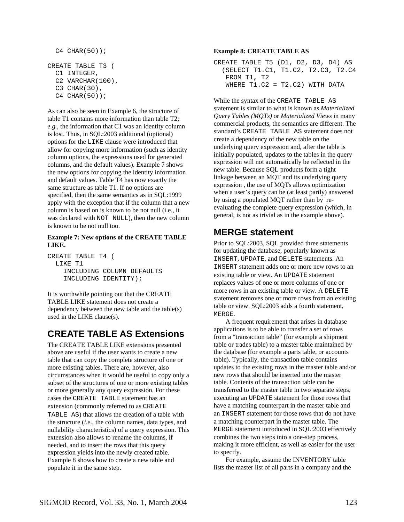```
 C4 CHAR(50)); 
CREATE TABLE T3 ( 
   C1 INTEGER, 
  C2 VARCHAR(100),
   C3 CHAR(30), 
   C4 CHAR(50));
```
As can also be seen in [Example 6,](#page-3-1) the structure of table T1 contains more information than table T2; *e.g.*, the information that C1 was an identity column is lost. Thus, in SQL:2003 additional (optional) options for the LIKE clause were introduced that allow for copying more information (such as identity column options, the expressions used for generated columns, and the default values). [Example 7](#page-4-0) shows the new options for copying the identity information and default values. Table T4 has now exactly the same structure as table T1. If no options are specified, then the same semantics as in SQL:1999 apply with the exception that if the column that a new column is based on is known to be not null (i.e., it was declared with NOT NULL), then the new column is known to be not null too.

#### <span id="page-4-0"></span>**Example 7: New options of the CREATE TABLE LIKE.**

CREATE TABLE T4 ( LIKE T1 INCLUDING COLUMN DEFAULTS INCLUDING IDENTITY);

It is worthwhile pointing out that the CREATE TABLE LIKE statement does not create a dependency between the new table and the table $(s)$ used in the LIKE clause(s).

# **CREATE TABLE AS Extensions**

The CREATE TABLE LIKE extensions presented above are useful if the user wants to create a new table that can copy the complete structure of one or more existing tables. There are, however, also circumstances when it would be useful to copy only a subset of the structures of one or more existing tables or more generally any query expression. For these cases the CREATE TABLE statement has an extension (commonly referred to as CREATE TABLE AS) that allows the creation of a table with the structure (*i.e.*, the column names, data types, and nullability characteristics) of a query expression. This extension also allows to rename the columns, if needed, and to insert the rows that this query expression yields into the newly created table. [Example 8](#page-4-1) shows how to create a new table and populate it in the same step.

### <span id="page-4-1"></span>**Example 8: CREATE TABLE AS**

CREATE TABLE T5 (D1, D2, D3, D4) AS (SELECT T1.C1, T1.C2, T2.C3, T2.C4 FROM T1, T2 WHERE  $T1.C2 = T2.C2$ ) WITH DATA

While the syntax of the CREATE TABLE AS statement is similar to what is known as *Materialized Query Tables (MQTs)* or *Materialized Views* in many commercial products, the semantics are different. The standard's CREATE TABLE AS statement does not create a dependency of the new table on the underlying query expression and, after the table is initially populated, updates to the tables in the query expression will not automatically be reflected in the new table. Because SQL products form a tight linkage between an MQT and its underlying query expression , the use of MQTs allows optimization when a user's query can be (at least partly) answered by using a populated MQT rather than by reevaluating the complete query expression (which, in general, is not as trivial as in the example above).

### **MERGE statement**

Prior to SQL:2003, SQL provided three statements for updating the database, popularly known as INSERT, UPDATE, and DELETE statements. An INSERT statement adds one or more new rows to an existing table or view. An UPDATE statement replaces values of one or more columns of one or more rows in an existing table or view. A DELETE statement removes one or more rows from an existing table or view. SQL:2003 adds a fourth statement, MERGE.

A frequent requirement that arises in database applications is to be able to transfer a set of rows from a "transaction table" (for example a shipment table or trades table) to a master table maintained by the database (for example a parts table, or accounts table). Typically, the transaction table contains updates to the existing rows in the master table and/or new rows that should be inserted into the master table. Contents of the transaction table can be transferred to the master table in two separate steps, executing an UPDATE statement for those rows that have a matching counterpart in the master table and an INSERT statement for those rows that do not have a matching counterpart in the master table. The MERGE statement introduced in SQL:2003 effectively combines the two steps into a one-step process, making it more efficient, as well as easier for the user to specify.

For example, assume the INVENTORY table lists the master list of all parts in a company and the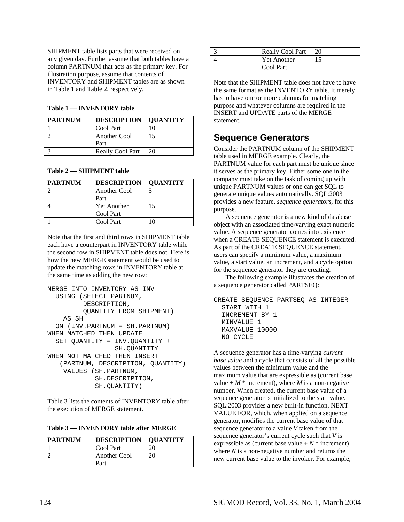SHIPMENT table lists parts that were received on any given day. Further assume that both tables have a column PARTNUM that acts as the primary key. For illustration purpose, assume that contents of INVENTORY and SHIPMENT tables are as shown in [Table 1](#page-5-0) and [Table 2,](#page-5-1) respectively.

<span id="page-5-0"></span>**Table 1 — INVENTORY table** 

| <b>PARTNUM</b> | <b>DESCRIPTION</b>      | <b>OUANTITY</b> |
|----------------|-------------------------|-----------------|
|                | Cool Part               |                 |
|                | Another Cool            | 15              |
|                | Part                    |                 |
|                | <b>Really Cool Part</b> | 20              |

<span id="page-5-1"></span>**Table 2 — SHIPMENT table** 

| <b>PARTNUM</b> | <b>DESCRIPTION</b>  | <b>QUANTITY</b> |
|----------------|---------------------|-----------------|
|                | <b>Another Cool</b> |                 |
|                | Part                |                 |
|                | <b>Yet Another</b>  | 15              |
|                | Cool Part           |                 |
|                | Cool Part           |                 |

Note that the first and third rows in SHIPMENT table each have a counterpart in INVENTORY table while the second row in SHIPMENT table does not. Here is how the new MERGE statement would be used to update the matching rows in INVENTORY table at the same time as adding the new row:

```
MERGE INTO INVENTORY AS INV 
   USING (SELECT PARTNUM, 
          DESCRIPTION, 
          QUANTITY FROM SHIPMENT) 
     AS SH 
   ON (INV.PARTNUM = SH.PARTNUM) 
WHEN MATCHED THEN UPDATE 
  SET OUANTITY = INV.OUANTITY +
                   SH.QUANTITY 
WHEN NOT MATCHED THEN INSERT 
    (PARTNUM, DESCRIPTION, QUANTITY) 
     VALUES (SH.PARTNUM, 
              SH.DESCRIPTION, 
              SH.QUANTITY)
```
[Table 3](#page-5-2) lists the contents of INVENTORY table after the execution of MERGE statement.

<span id="page-5-2"></span>**Table 3 — INVENTORY table after MERGE** 

| <b>PARTNUM</b> | <b>DESCRIPTION   OUANTITY</b> |    |
|----------------|-------------------------------|----|
|                | Cool Part                     |    |
|                | Another Cool                  | 20 |
|                | Part                          |    |

| <b>Really Cool Part</b> |  |
|-------------------------|--|
| <b>Yet Another</b>      |  |
| Cool Part               |  |

Note that the SHIPMENT table does not have to have the same format as the INVENTORY table. It merely has to have one or more columns for matching purpose and whatever columns are required in the INSERT and UPDATE parts of the MERGE statement.

## **Sequence Generators**

Consider the PARTNUM column of the SHIPMENT table used in MERGE example. Clearly, the PARTNUM value for each part must be unique since it serves as the primary key. Either some one in the company must take on the task of coming up with unique PARTNUM values or one can get SQL to generate unique values automatically. SQL:2003 provides a new feature, *sequence generators*, for this purpose.

A sequence generator is a new kind of database object with an associated time-varying exact numeric value. A sequence generator comes into existence when a CREATE SEQUENCE statement is executed. As part of the CREATE SEQUENCE statement, users can specify a minimum value, a maximum value, a start value, an increment, and a cycle option for the sequence generator they are creating.

The following example illustrates the creation of a sequence generator called PARTSEQ:

```
CREATE SEQUENCE PARTSEQ AS INTEGER 
   START WITH 1 
   INCREMENT BY 1 
   MINVALUE 1 
   MAXVALUE 10000 
   NO CYCLE
```
A sequence generator has a time-varying *current base value* and a cycle that consists of all the possible values between the minimum value and the maximum value that are expressible as (current base value  $+ M^*$  increment), where *M* is a non-negative number. When created, the current base value of a sequence generator is initialized to the start value. SQL:2003 provides a new built-in function, NEXT VALUE FOR, which, when applied on a sequence generator, modifies the current base value of that sequence generator to a value *V* taken from the sequence generator's current cycle such that *V* is expressible as (current base value  $+ N^*$  increment) where *N* is a non-negative number and returns the new current base value to the invoker. For example,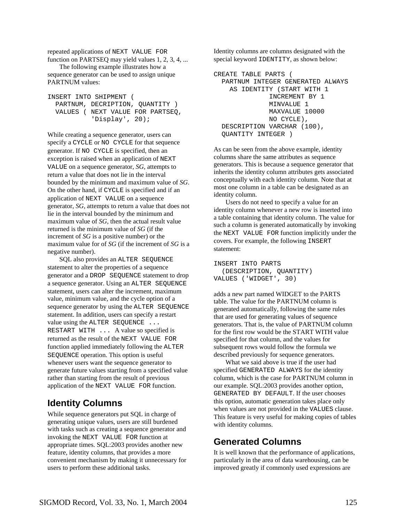repeated applications of NEXT VALUE FOR function on PARTSEQ may yield values 1, 2, 3, 4, ...

The following example illustrates how a sequence generator can be used to assign unique PARTNUM values:

INSERT INTO SHIPMENT ( PARTNUM, DECRIPTION, QUANTITY ) VALUES ( NEXT VALUE FOR PARTSEQ, 'Display', 20);

While creating a sequence generator, users can specify a CYCLE or NO CYCLE for that sequence generator. If NO CYCLE is specified, then an exception is raised when an application of NEXT VALUE on a sequence generator, *SG,* attempts to return a value that does not lie in the interval bounded by the minimum and maximum value of *SG*. On the other hand, if CYCLE is specified and if an application of NEXT VALUE on a sequence generator, *SG,* attempts to return a value that does not lie in the interval bounded by the minimum and maximum value of *SG*, then the actual result value returned is the minimum value of *SG* (if the increment of *SG* is a positive number) or the maximum value for of *SG* (if the increment of *SG* is a negative number).

SQL also provides an ALTER SEQUENCE statement to alter the properties of a sequence generator and a DROP SEQUENCE statement to drop a sequence generator. Using an ALTER SEQUENCE statement, users can alter the increment, maximum value, minimum value, and the cycle option of a sequence generator by using the ALTER SEQUENCE statement. In addition, users can specify a restart value using the ALTER SEQUENCE ... RESTART WITH ... A value so specified is returned as the result of the NEXT VALUE FOR function applied immediately following the ALTER SEQUENCE operation. This option is useful whenever users want the sequence generator to generate future values starting from a specified value rather than starting from the result of previous application of the NEXT VALUE FOR function.

## **Identity Columns**

While sequence generators put SQL in charge of generating unique values, users are still burdened with tasks such as creating a sequence generator and invoking the NEXT VALUE FOR function at appropriate times. SQL:2003 provides another new feature, identity columns, that provides a more convenient mechanism by making it unnecessary for users to perform these additional tasks.

Identity columns are columns designated with the special keyword IDENTITY, as shown below:

```
CREATE TABLE PARTS ( 
   PARTNUM INTEGER GENERATED ALWAYS 
     AS IDENTITY (START WITH 1 
                INCREMENT BY 1 
                MINVALUE 1 
                MAXVALUE 10000 
                NO CYCLE), 
   DESCRIPTION VARCHAR (100), 
   QUANTITY INTEGER )
```
As can be seen from the above example, identity columns share the same attributes as sequence generators. This is because a sequence generator that inherits the identity column attributes gets associated conceptually with each identity column. Note that at most one column in a table can be designated as an identity column.

Users do not need to specify a value for an identity column whenever a new row is inserted into a table containing that identity column. The value for such a column is generated automatically by invoking the NEXT VALUE FOR function implicitly under the covers. For example, the following INSERT statement:

INSERT INTO PARTS (DESCRIPTION, QUANTITY) VALUES ('WIDGET', 30)

adds a new part named WIDGET to the PARTS table. The value for the PARTNUM column is generated automatically, following the same rules that are used for generating values of sequence generators. That is, the value of PARTNUM column for the first row would be the START WITH value specified for that column, and the values for subsequent rows would follow the formula we described previously for sequence generators.

What we said above is true if the user had specified GENERATED ALWAYS for the identity column, which is the case for PARTNUM column in our example. SQL:2003 provides another option, GENERATED BY DEFAULT. If the user chooses this option, automatic generation takes place only when values are not provided in the VALUES clause. This feature is very useful for making copies of tables with identity columns.

## **Generated Columns**

It is well known that the performance of applications, particularly in the area of data warehousing, can be improved greatly if commonly used expressions are